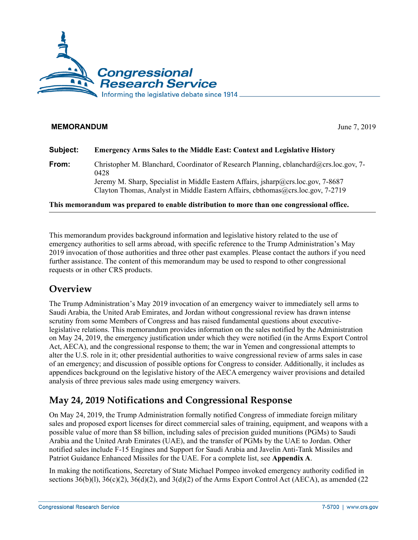

### **MEMORANDUM** June 7, 2019

| Subject: | <b>Emergency Arms Sales to the Middle East: Context and Legislative History</b>                                                                                                                                                                                        |
|----------|------------------------------------------------------------------------------------------------------------------------------------------------------------------------------------------------------------------------------------------------------------------------|
| From:    | Christopher M. Blanchard, Coordinator of Research Planning, cblanchard@crs.loc.gov, 7-<br>0428<br>Jeremy M. Sharp, Specialist in Middle Eastern Affairs, jsharp@crs.loc.gov, 7-8687<br>Clayton Thomas, Analyst in Middle Eastern Affairs, cbthomas@crs.loc.gov, 7-2719 |
|          |                                                                                                                                                                                                                                                                        |

**This memorandum was prepared to enable distribution to more than one congressional office.**

This memorandum provides background information and legislative history related to the use of emergency authorities to sell arms abroad, with specific reference to the Trump Administration's May 2019 invocation of those authorities and three other past examples. Please contact the authors if you need further assistance. The content of this memorandum may be used to respond to other congressional requests or in other CRS products.

## **Overview**

The Trump Administration's May 2019 invocation of an emergency waiver to immediately sell arms to Saudi Arabia, the United Arab Emirates, and Jordan without congressional review has drawn intense scrutiny from some Members of Congress and has raised fundamental questions about executivelegislative relations. This memorandum provides information on the sales notified by the Administration on May 24, 2019, the emergency justification under which they were notified (in the Arms Export Control Act, AECA), and the congressional response to them; the war in Yemen and congressional attempts to alter the U.S. role in it; other presidential authorities to waive congressional review of arms sales in case of an emergency; and discussion of possible options for Congress to consider. Additionally, it includes as appendices background on the legislative history of the AECA emergency waiver provisions and detailed analysis of three previous sales made using emergency waivers.

## **May 24, 2019 Notifications and Congressional Response**

On May 24, 2019, the Trump Administration formally notified Congress of immediate foreign military sales and proposed export licenses for direct commercial sales of training, equipment, and weapons with a possible value of more than \$8 billion, including sales of precision guided munitions (PGMs) to Saudi Arabia and the United Arab Emirates (UAE), and the transfer of PGMs by the UAE to Jordan. Other notified sales include F-15 Engines and Support for Saudi Arabia and Javelin Anti-Tank Missiles and Patriot Guidance Enhanced Missiles for the UAE. For a complete list, see **[Appendix A](#page-6-0)**.

In making the notifications, Secretary of State Michael Pompeo invoked emergency authority codified in sections  $36(b)(1)$ ,  $36(c)(2)$ ,  $36(d)(2)$ , and  $3(d)(2)$  of the Arms Export Control Act (AECA), as amended (22)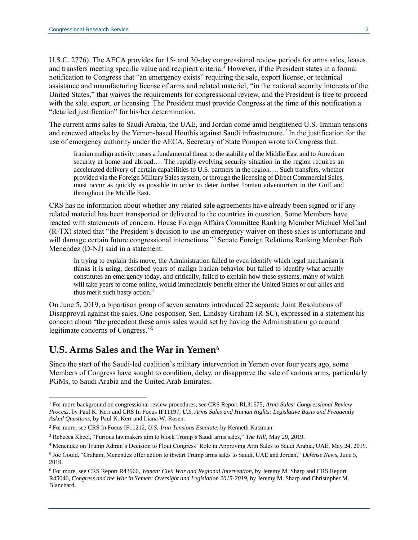U.S.C. 2776). The AECA provides for 15- and 30-day congressional review periods for arms sales, leases, and transfers meeting specific value and recipient criteria.<sup>1</sup> However, if the President states in a formal notification to Congress that "an emergency exists" requiring the sale, export license, or technical assistance and manufacturing license of arms and related materiel, "in the national security interests of the United States," that waives the requirements for congressional review, and the President is free to proceed with the sale, export, or licensing. The President must provide Congress at the time of this notification a "detailed justification" for his/her determination.

The current arms sales to Saudi Arabia, the UAE, and Jordan come amid heightened U.S.-Iranian tensions and renewed attacks by the Yemen-based Houthis against Saudi infrastructure. 2 In the justification for the use of emergency authority under the AECA, Secretary of State Pompeo wrote to Congress that:

Iranian malign activity poses a fundamental threat to the stability of the Middle East and to American security at home and abroad.... The rapidly-evolving security situation in the region requires an accelerated delivery of certain capabilities to U.S. partners in the region…. Such transfers, whether provided via the Foreign Military Sales system, or through the licensing of Direct Commercial Sales, must occur as quickly as possible in order to deter further Iranian adventurism in the Gulf and throughout the Middle East.

CRS has no information about whether any related sale agreements have already been signed or if any related materiel has been transported or delivered to the countries in question. Some Members have reacted with statements of concern. House Foreign Affairs Committee Ranking Member Michael McCaul (R-TX) stated that "the President's decision to use an emergency waiver on these sales is unfortunate and will damage certain future congressional interactions."<sup>3</sup> Senate Foreign Relations Ranking Member Bob Menendez (D-NJ) said in a statement:

In trying to explain this move, the Administration failed to even identify which legal mechanism it thinks it is using, described years of malign Iranian behavior but failed to identify what actually constitutes an emergency today, and critically, failed to explain how these systems, many of which will take years to come online, would immediately benefit either the United States or our allies and thus merit such hasty action.<sup>4</sup>

On June 5, 2019, a bipartisan group of seven senators introduced 22 separate Joint Resolutions of Disapproval against the sales. One cosponsor, Sen. Lindsey Graham (R-SC), expressed in a statement his concern about "the precedent these arms sales would set by having the Administration go around legitimate concerns of Congress." 5

## **U.S. Arms Sales and the War in Yemen<sup>6</sup>**

 $\overline{a}$ 

Since the start of the Saudi-led coalition's military intervention in Yemen over four years ago, some Members of Congress have sought to condition, delay, or disapprove the sale of various arms, particularly PGMs, to Saudi Arabia and the United Arab Emirates.

<sup>1</sup> For more background on congressional review procedures, see CRS Report RL31675, *[Arms Sales: Congressional Review](http://www.crs.gov/Reports/RL31675)  [Process](http://www.crs.gov/Reports/RL31675)*, by Paul K. Kerr and CRS In Focus IF11197, *[U.S. Arms Sales and Human Rights: Legislative Basis and Frequently](http://www.crs.gov/Reports/IF11197)  [Asked Questions](http://www.crs.gov/Reports/IF11197)*, by Paul K. Kerr and Liana W. Rosen.

<sup>2</sup> For more, see CRS In Focus IF11212, *[U.S.-Iran Tensions Escalate](http://www.crs.gov/Reports/IF11212)*, by Kenneth Katzman.

<sup>3</sup> Rebecca Kheel, "Furious lawmakers aim to block Trump's Saudi arms sales," *The Hill*, May 29, 2019.

<sup>4</sup> Menendez on Trump Admin's Decision to Flout Congress' Role in Approving Arm Sales to Saudi Arabia, UAE, May 24, 2019.

<sup>5</sup> Joe Gould, "Graham, Menendez offer action to thwart Trump arms sales to Saudi, UAE and Jordan," *Defense News*, June 5, 2019.

<sup>6</sup> For more, see CRS Report R43960, *[Yemen: Civil War and Regional Intervention](http://www.crs.gov/Reports/R43960)*, by Jeremy M. Sharp and CRS Report R45046, *[Congress and the War in Yemen: Oversight and](http://www.crs.gov/Reports/R45046) Legislation 2015-2019*, by Jeremy M. Sharp and Christopher M. Blanchard.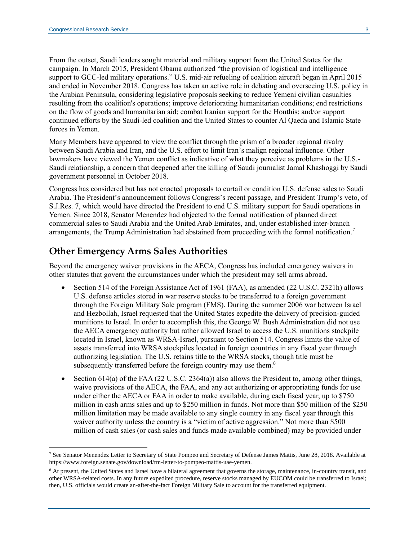From the outset, Saudi leaders sought material and military support from the United States for the campaign. In March 2015, President Obama authorized "the provision of logistical and intelligence support to GCC-led military operations." U.S. mid-air refueling of coalition aircraft began in April 2015 and ended in November 2018. Congress has taken an active role in debating and overseeing U.S. policy in the Arabian Peninsula, considering legislative proposals seeking to reduce Yemeni civilian casualties resulting from the coalition's operations; improve deteriorating humanitarian conditions; end restrictions on the flow of goods and humanitarian aid; combat Iranian support for the Houthis; and/or support continued efforts by the Saudi-led coalition and the United States to counter Al Qaeda and Islamic State forces in Yemen.

Many Members have appeared to view the conflict through the prism of a broader regional rivalry between Saudi Arabia and Iran, and the U.S. effort to limit Iran's malign regional influence. Other lawmakers have viewed the Yemen conflict as indicative of what they perceive as problems in the U.S.- Saudi relationship, a concern that deepened after the killing of Saudi journalist Jamal Khashoggi by Saudi government personnel in October 2018.

Congress has considered but has not enacted proposals to curtail or condition U.S. defense sales to Saudi Arabia. The President's announcement follows Congress's recent passage, and President Trump's veto, of S.J.Res. 7, which would have directed the President to end U.S. military support for Saudi operations in Yemen. Since 2018, Senator Menendez had objected to the formal notification of planned direct commercial sales to Saudi Arabia and the United Arab Emirates, and, under established inter-branch arrangements, the Trump Administration had abstained from proceeding with the formal notification.<sup>7</sup>

### **Other Emergency Arms Sales Authorities**

Beyond the emergency waiver provisions in the AECA, Congress has included emergency waivers in other statutes that govern the circumstances under which the president may sell arms abroad.

- Section 514 of the Foreign Assistance Act of 1961 (FAA), as amended (22 U.S.C. 2321h) allows U.S. defense articles stored in war reserve stocks to be transferred to a foreign government through the Foreign Military Sale program (FMS). During the summer 2006 war between Israel and Hezbollah, Israel requested that the United States expedite the delivery of precision-guided munitions to Israel. In order to accomplish this, the George W. Bush Administration did not use the AECA emergency authority but rather allowed Israel to access the U.S. munitions stockpile located in Israel, known as WRSA-Israel, pursuant to Section 514. Congress limits the value of assets transferred into WRSA stockpiles located in foreign countries in any fiscal year through authorizing legislation. The U.S. retains title to the WRSA stocks, though title must be subsequently transferred before the foreign country may use them. $8$
- Section 614(a) of the FAA (22 U.S.C. 2364(a)) also allows the President to, among other things, waive provisions of the AECA, the FAA, and any act authorizing or appropriating funds for use under either the AECA or FAA in order to make available, during each fiscal year, up to \$750 million in cash arms sales and up to \$250 million in funds. Not more than \$50 million of the \$250 million limitation may be made available to any single country in any fiscal year through this waiver authority unless the country is a "victim of active aggression." Not more than \$500 million of cash sales (or cash sales and funds made available combined) may be provided under

<sup>7</sup> See Senator Menendez Letter to Secretary of State Pompeo and Secretary of Defense James Mattis, June 28, 2018. Available at https://www.foreign.senate.gov/download/rm-letter-to-pompeo-mattis-uae-yemen.

<sup>&</sup>lt;sup>8</sup> At present, the United States and Israel have a bilateral agreement that governs the storage, maintenance, in-country transit, and other WRSA-related costs. In any future expedited procedure, reserve stocks managed by EUCOM could be transferred to Israel; then, U.S. officials would create an-after-the-fact Foreign Military Sale to account for the transferred equipment.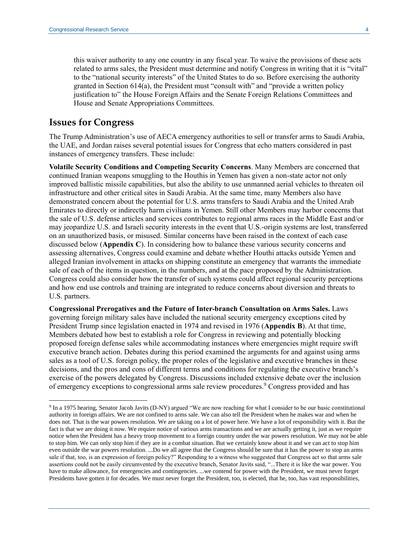this waiver authority to any one country in any fiscal year. To waive the provisions of these acts related to arms sales, the President must determine and notify Congress in writing that it is "vital" to the "national security interests" of the United States to do so. Before exercising the authority granted in Section 614(a), the President must "consult with" and "provide a written policy justification to" the House Foreign Affairs and the Senate Foreign Relations Committees and House and Senate Appropriations Committees.

### **Issues for Congress**

 $\overline{a}$ 

The Trump Administration's use of AECA emergency authorities to sell or transfer arms to Saudi Arabia, the UAE, and Jordan raises several potential issues for Congress that echo matters considered in past instances of emergency transfers. These include:

**Volatile Security Conditions and Competing Security Concerns**. Many Members are concerned that continued Iranian weapons smuggling to the Houthis in Yemen has given a non-state actor not only improved ballistic missile capabilities, but also the ability to use unmanned aerial vehicles to threaten oil infrastructure and other critical sites in Saudi Arabia. At the same time, many Members also have demonstrated concern about the potential for U.S. arms transfers to Saudi Arabia and the United Arab Emirates to directly or indirectly harm civilians in Yemen. Still other Members may harbor concerns that the sale of U.S. defense articles and services contributes to regional arms races in the Middle East and/or may jeopardize U.S. and Israeli security interests in the event that U.S.-origin systems are lost, transferred on an unauthorized basis, or misused. Similar concerns have been raised in the context of each case discussed below (**Appendix C**). In considering how to balance these various security concerns and assessing alternatives, Congress could examine and debate whether Houthi attacks outside Yemen and alleged Iranian involvement in attacks on shipping constitute an emergency that warrants the immediate sale of each of the items in question, in the numbers, and at the pace proposed by the Administration. Congress could also consider how the transfer of such systems could affect regional security perceptions and how end use controls and training are integrated to reduce concerns about diversion and threats to U.S. partners.

**Congressional Prerogatives and the Future of Inter-branch Consultation on Arms Sales.** Laws governing foreign military sales have included the national security emergency exceptions cited by President Trump since legislation enacted in 1974 and revised in 1976 (**Appendix B**). At that time, Members debated how best to establish a role for Congress in reviewing and potentially blocking proposed foreign defense sales while accommodating instances where emergencies might require swift executive branch action. Debates during this period examined the arguments for and against using arms sales as a tool of U.S. foreign policy, the proper roles of the legislative and executive branches in these decisions, and the pros and cons of different terms and conditions for regulating the executive branch's exercise of the powers delegated by Congress. Discussions included extensive debate over the inclusion of emergency exceptions to congressional arms sale review procedures.<sup>9</sup> Congress provided and has

<sup>&</sup>lt;sup>9</sup> In a 1975 hearing, Senator Jacob Javits (D-NY) argued "We are now reaching for what I consider to be our basic constitutional authority in foreign affairs. We are not confined to arms sale. We can also tell the President when he makes war and when he does not. That is the war powers resolution. We are taking on a lot of power here. We have a lot of responsibility with it. But the fact is that we are doing it now. We require notice of various arms transactions and we are actually getting it, just as we require notice when the President has a heavy troop movement to a foreign country under the war powers resolution. We may not be able to stop him. We can only stop him if they are in a combat situation. But we certainly know about it and we can act to stop him even outside the war powers resolution. ...Do we all agree that the Congress should be sure that it has the power to stop an arms sale if that, too, is an expression of foreign policy?" Responding to a witness who suggested that Congress act so that arms sale assertions could not be easily circumvented by the executive branch, Senator Javits said, "...There it is like the war power. You have to make allowance, for emergencies and contingencies. ...we contend for power with the President, we must never forget Presidents have gotten it for decades. We must never forget the President, too, is elected, that he, too, has vast responsibilities,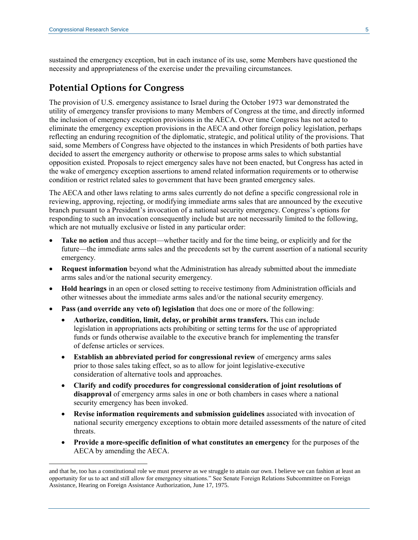sustained the emergency exception, but in each instance of its use, some Members have questioned the necessity and appropriateness of the exercise under the prevailing circumstances.

## **Potential Options for Congress**

The provision of U.S. emergency assistance to Israel during the October 1973 war demonstrated the utility of emergency transfer provisions to many Members of Congress at the time, and directly informed the inclusion of emergency exception provisions in the AECA. Over time Congress has not acted to eliminate the emergency exception provisions in the AECA and other foreign policy legislation, perhaps reflecting an enduring recognition of the diplomatic, strategic, and political utility of the provisions. That said, some Members of Congress have objected to the instances in which Presidents of both parties have decided to assert the emergency authority or otherwise to propose arms sales to which substantial opposition existed. Proposals to reject emergency sales have not been enacted, but Congress has acted in the wake of emergency exception assertions to amend related information requirements or to otherwise condition or restrict related sales to government that have been granted emergency sales.

The AECA and other laws relating to arms sales currently do not define a specific congressional role in reviewing, approving, rejecting, or modifying immediate arms sales that are announced by the executive branch pursuant to a President's invocation of a national security emergency. Congress's options for responding to such an invocation consequently include but are not necessarily limited to the following, which are not mutually exclusive or listed in any particular order:

- **Take no action** and thus accept—whether tacitly and for the time being, or explicitly and for the future—the immediate arms sales and the precedents set by the current assertion of a national security emergency.
- **Request information** beyond what the Administration has already submitted about the immediate arms sales and/or the national security emergency.
- **Hold hearings** in an open or closed setting to receive testimony from Administration officials and other witnesses about the immediate arms sales and/or the national security emergency.
- **Pass (and override any veto of) legislation** that does one or more of the following:
	- **Authorize, condition, limit, delay, or prohibit arms transfers.** This can include legislation in appropriations acts prohibiting or setting terms for the use of appropriated funds or funds otherwise available to the executive branch for implementing the transfer of defense articles or services.
	- **Establish an abbreviated period for congressional review** of emergency arms sales prior to those sales taking effect, so as to allow for joint legislative-executive consideration of alternative tools and approaches.
	- **Clarify and codify procedures for congressional consideration of joint resolutions of disapproval** of emergency arms sales in one or both chambers in cases where a national security emergency has been invoked.
	- **Revise information requirements and submission guidelines** associated with invocation of national security emergency exceptions to obtain more detailed assessments of the nature of cited threats.
	- **Provide a more-specific definition of what constitutes an emergency** for the purposes of the AECA by amending the AECA.

and that he, too has a constitutional role we must preserve as we struggle to attain our own. I believe we can fashion at least an opportunity for us to act and still allow for emergency situations." See Senate Foreign Relations Subcommittee on Foreign Assistance, Hearing on Foreign Assistance Authorization, June 17, 1975.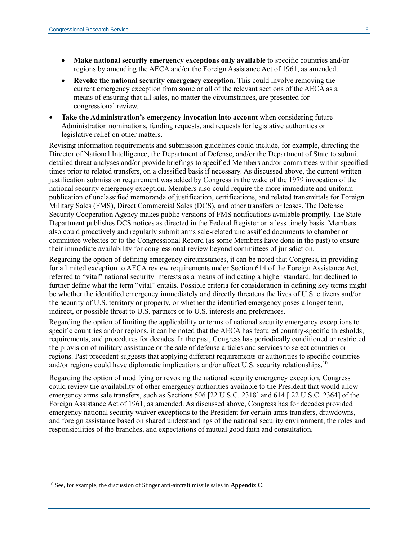- **Make national security emergency exceptions only available** to specific countries and/or regions by amending the AECA and/or the Foreign Assistance Act of 1961, as amended.
- **Revoke the national security emergency exception.** This could involve removing the current emergency exception from some or all of the relevant sections of the AECA as a means of ensuring that all sales, no matter the circumstances, are presented for congressional review.
- **Take the Administration's emergency invocation into account** when considering future Administration nominations, funding requests, and requests for legislative authorities or legislative relief on other matters.

Revising information requirements and submission guidelines could include, for example, directing the Director of National Intelligence, the Department of Defense, and/or the Department of State to submit detailed threat analyses and/or provide briefings to specified Members and/or committees within specified times prior to related transfers, on a classified basis if necessary. As discussed above, the current written justification submission requirement was added by Congress in the wake of the 1979 invocation of the national security emergency exception. Members also could require the more immediate and uniform publication of unclassified memoranda of justification, certifications, and related transmittals for Foreign Military Sales (FMS), Direct Commercial Sales (DCS), and other transfers or leases. The Defense Security Cooperation Agency makes public versions of FMS notifications available promptly. The State Department publishes DCS notices as directed in the Federal Register on a less timely basis. Members also could proactively and regularly submit arms sale-related unclassified documents to chamber or committee websites or to the Congressional Record (as some Members have done in the past) to ensure their immediate availability for congressional review beyond committees of jurisdiction.

Regarding the option of defining emergency circumstances, it can be noted that Congress, in providing for a limited exception to AECA review requirements under Section 614 of the Foreign Assistance Act, referred to "vital" national security interests as a means of indicating a higher standard, but declined to further define what the term "vital" entails. Possible criteria for consideration in defining key terms might be whether the identified emergency immediately and directly threatens the lives of U.S. citizens and/or the security of U.S. territory or property, or whether the identified emergency poses a longer term, indirect, or possible threat to U.S. partners or to U.S. interests and preferences.

Regarding the option of limiting the applicability or terms of national security emergency exceptions to specific countries and/or regions, it can be noted that the AECA has featured country-specific thresholds, requirements, and procedures for decades. In the past, Congress has periodically conditioned or restricted the provision of military assistance or the sale of defense articles and services to select countries or regions. Past precedent suggests that applying different requirements or authorities to specific countries and/or regions could have diplomatic implications and/or affect U.S. security relationships.<sup>10</sup>

Regarding the option of modifying or revoking the national security emergency exception, Congress could review the availability of other emergency authorities available to the President that would allow emergency arms sale transfers, such as Sections 506 [22 U.S.C. 2318] and 614 [ 22 U.S.C. 2364] of the Foreign Assistance Act of 1961, as amended. As discussed above, Congress has for decades provided emergency national security waiver exceptions to the President for certain arms transfers, drawdowns, and foreign assistance based on shared understandings of the national security environment, the roles and responsibilities of the branches, and expectations of mutual good faith and consultation.

<sup>10</sup> See, for example, the discussion of Stinger anti-aircraft missile sales in **Appendix C**.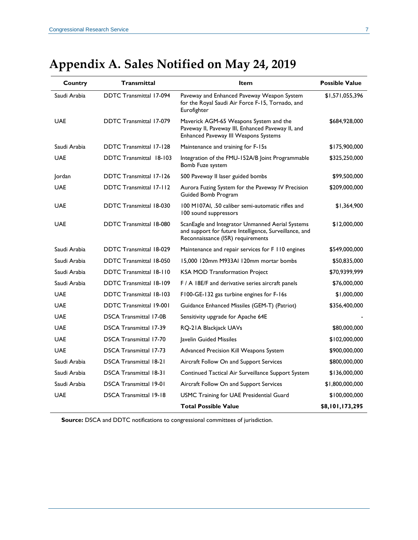| Country      | Transmittal                    | Item                                                                                                                                            | <b>Possible Value</b> |
|--------------|--------------------------------|-------------------------------------------------------------------------------------------------------------------------------------------------|-----------------------|
| Saudi Arabia | <b>DDTC Transmittal 17-094</b> | Paveway and Enhanced Paveway Weapon System<br>for the Royal Saudi Air Force F-15, Tornado, and<br>Eurofighter                                   | \$1,571,055,396       |
| <b>UAE</b>   | <b>DDTC Transmittal 17-079</b> | Maverick AGM-65 Weapons System and the<br>Paveway II, Paveway III, Enhanced Paveway II, and<br>Enhanced Paveway III Weapons Systems             | \$684,928,000         |
| Saudi Arabia | <b>DDTC</b> Transmittal 17-128 | Maintenance and training for F-15s                                                                                                              | \$175,900,000         |
| <b>UAE</b>   | <b>DDTC Transmittal 18-103</b> | Integration of the FMU-152A/B Joint Programmable<br>Bomb Fuze system                                                                            | \$325,250,000         |
| Jordan       | <b>DDTC Transmittal 17-126</b> | 500 Paveway II laser guided bombs                                                                                                               | \$99,500,000          |
| <b>UAE</b>   | <b>DDTC Transmittal 17-112</b> | Aurora Fuzing System for the Paveway IV Precision<br>Guided Bomb Program                                                                        | \$209,000,000         |
| <b>UAE</b>   | <b>DDTC Transmittal 18-030</b> | 100 M107Al, .50 caliber semi-automatic rifles and<br>100 sound suppressors                                                                      | \$1,364,900           |
| <b>UAE</b>   | <b>DDTC Transmittal 18-080</b> | ScanEagle and Integrator Unmanned Aerial Systems<br>and support for future Intelligence, Surveillance, and<br>Reconnaissance (ISR) requirements | \$12,000,000          |
| Saudi Arabia | <b>DDTC Transmittal 18-029</b> | Maintenance and repair services for F 110 engines                                                                                               | \$549,000,000         |
| Saudi Arabia | <b>DDTC Transmittal 18-050</b> | 15,000 120mm M933AI 120mm mortar bombs                                                                                                          | \$50,835,000          |
| Saudi Arabia | <b>DDTC</b> Transmittal 18-110 | <b>KSA MOD Transformation Project</b>                                                                                                           | \$70,9399,999         |
| Saudi Arabia | <b>DDTC Transmittal 18-109</b> | F / A 18E/F and derivative series aircraft panels                                                                                               | \$76,000,000          |
| <b>UAE</b>   | <b>DDTC Transmittal 18-103</b> | F100-GE-132 gas turbine engines for F-16s                                                                                                       | \$1,000,000           |
| <b>UAE</b>   | <b>DDTC Transmittal 19-001</b> | Guidance Enhanced Missiles (GEM-T) (Patriot)                                                                                                    | \$356,400,000         |
| <b>UAE</b>   | <b>DSCA Transmittal 17-0B</b>  | Sensitivity upgrade for Apache 64E                                                                                                              |                       |
| <b>UAE</b>   | <b>DSCA Transmittal 17-39</b>  | RQ-21A Blackjack UAVs                                                                                                                           | \$80,000,000          |
| <b>UAE</b>   | <b>DSCA Transmittal 17-70</b>  | Javelin Guided Missiles                                                                                                                         | \$102,000,000         |
| <b>UAE</b>   | <b>DSCA Transmittal 17-73</b>  | Advanced Precision Kill Weapons System                                                                                                          | \$900,000,000         |
| Saudi Arabia | <b>DSCA Transmittal 18-21</b>  | Aircraft Follow On and Support Services                                                                                                         | \$800,000,000         |
| Saudi Arabia | <b>DSCA Transmittal 18-31</b>  | Continued Tactical Air Surveillance Support System                                                                                              | \$136,000,000         |
| Saudi Arabia | <b>DSCA Transmittal 19-01</b>  | Aircraft Follow On and Support Services                                                                                                         | \$1,800,000,000       |
| <b>UAE</b>   | <b>DSCA Transmittal 19-18</b>  | USMC Training for UAE Presidential Guard                                                                                                        | \$100,000,000         |
|              |                                | <b>Total Possible Value</b>                                                                                                                     | \$8,101,173,295       |

# <span id="page-6-0"></span>**Appendix A. Sales Notified on May 24, 2019**

**Source:** DSCA and DDTC notifications to congressional committees of jurisdiction.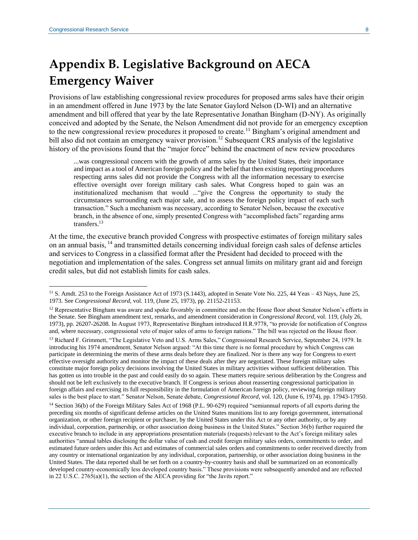# **Appendix B. Legislative Background on AECA Emergency Waiver**

Provisions of law establishing congressional review procedures for proposed arms sales have their origin in an amendment offered in June 1973 by the late Senator Gaylord Nelson (D-WI) and an alternative amendment and bill offered that year by the late Representative Jonathan Bingham (D-NY). As originally conceived and adopted by the Senate, the Nelson Amendment did not provide for an emergency exception to the new congressional review procedures it proposed to create.<sup>11</sup> Bingham's original amendment and bill also did not contain an emergency waiver provision.<sup>12</sup> Subsequent CRS analysis of the legislative history of the provisions found that the "major force" behind the enactment of new review procedures

...was congressional concern with the growth of arms sales by the United States, their importance and impact as a tool of American foreign policy and the belief that then existing reporting procedures respecting arms sales did not provide the Congress with all the information necessary to exercise effective oversight over foreign military cash sales. What Congress hoped to gain was an institutionalized mechanism that would ..."give the Congress the opportunity to study the circumstances surrounding each major sale, and to assess the foreign policy impact of each such transaction." Such a mechanism was necessary, according to Senator Nelson, because the executive branch, in the absence of one, simply presented Congress with "accomplished facts" regarding arms transfers.<sup>13</sup>

At the time, the executive branch provided Congress with prospective estimates of foreign military sales on an annual basis, <sup>14</sup> and transmitted details concerning individual foreign cash sales of defense articles and services to Congress in a classified format after the President had decided to proceed with the negotiation and implementation of the sales. Congress set annual limits on military grant aid and foreign credit sales, but did not establish limits for cash sales.

<sup>13</sup> Richard F. Grimmett, "The Legislative Veto and U.S. Arms Sales," Congressional Research Service, September 24, 1979. In introducing his 1974 amendment, Senator Nelson argued: "At this time there is no formal procedure by which Congress can participate in determining the merits of these arms deals before they are finalized. Nor is there any way for Congress to exert effective oversight authority and monitor the impact of these deals after they are negotiated. These foreign military sales constitute major foreign policy decisions involving the United States in military activities without sufficient deliberation. This has gotten us into trouble in the past and could easily do so again. These matters require serious deliberation by the Congress and should not be left exclusively to the executive branch. If Congress is serious about reasserting congressional participation in foreign affairs and exercising its full responsibility in the formulation of American foreign policy, reviewing foreign military sales is the best place to start." Senator Nelson, Senate debate, *Congressional Record*, vol. 120, (June 6, 1974), pp. 17943-17950. <sup>14</sup> Section 36(b) of the Foreign Military Sales Act of 1968 (P.L. 90-629) required "semiannual reports of all exports during the preceding six months of significant defense articles on the United States munitions list to any foreign government, international organization, or other foreign recipient or purchaser, by the United States under this Act or any other authority, or by any individual, corporation, partnership, or other association doing business in the United States." Section 36(b) further required the executive branch to include in any appropriations presentation materials (requests) relevant to the Act's foreign military sales authorities "annual tables disclosing the dollar value of cash and credit foreign military sales orders, commitments to order, and estimated future orders under this Act and estimates of commercial sales orders and commitments to order received directly from any country or international organization by any individual, corporation, partnership, or other association doing business in the United States. The data reported shall be set forth on a country-by-country basis and shall be summarized on an economically developed country-economically less developed country basis." These provisions were subsequently amended and are reflected in 22 U.S.C. 2765(a)(1), the section of the AECA providing for "the Javits report."

<sup>&</sup>lt;sup>11</sup> S. Amdt. 253 to the Foreign Assistance Act of 1973 (S.1443), adopted in Senate Vote No. 225, 44 Yeas – 43 Nays, June 25, 1973. See *Congressional Record,* vol. 119, (June 25, 1973), pp. 21152-21153.

 $12$  Representative Bingham was aware and spoke favorably in committee and on the House floor about Senator Nelson's efforts in the Senate. See Bingham amendment text, remarks, and amendment consideration in *Congressional Record,* vol. 119, (July 26, 1973), pp. 26207-26208. In August 1973, Representative Bingham introduced H.R.9778, "to provide for notification of Congress and, where necessary, congressional veto of major sales of arms to foreign nations." The bill was rejected on the House floor.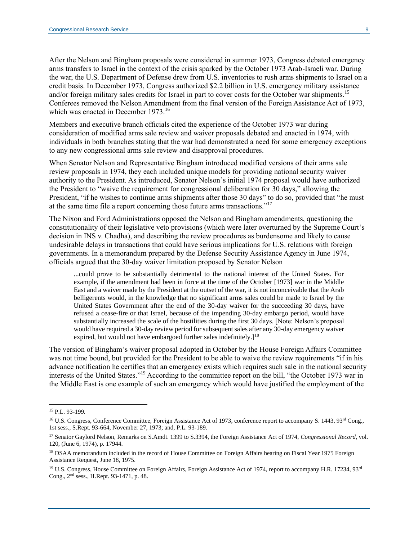After the Nelson and Bingham proposals were considered in summer 1973, Congress debated emergency arms transfers to Israel in the context of the crisis sparked by the October 1973 Arab-Israeli war. During the war, the U.S. Department of Defense drew from U.S. inventories to rush arms shipments to Israel on a credit basis. In December 1973, Congress authorized \$2.2 billion in U.S. emergency military assistance and/or foreign military sales credits for Israel in part to cover costs for the October war shipments.<sup>15</sup> Conferees removed the Nelson Amendment from the final version of the Foreign Assistance Act of 1973, which was enacted in December 1973.<sup>16</sup>

Members and executive branch officials cited the experience of the October 1973 war during consideration of modified arms sale review and waiver proposals debated and enacted in 1974, with individuals in both branches stating that the war had demonstrated a need for some emergency exceptions to any new congressional arms sale review and disapproval procedures.

When Senator Nelson and Representative Bingham introduced modified versions of their arms sale review proposals in 1974, they each included unique models for providing national security waiver authority to the President. As introduced, Senator Nelson's initial 1974 proposal would have authorized the President to "waive the requirement for congressional deliberation for 30 days," allowing the President, "if he wishes to continue arms shipments after those 30 days" to do so, provided that "he must at the same time file a report concerning those future arms transactions."<sup>17</sup>

The Nixon and Ford Administrations opposed the Nelson and Bingham amendments, questioning the constitutionality of their legislative veto provisions (which were later overturned by the Supreme Court's decision in INS v. Chadha), and describing the review procedures as burdensome and likely to cause undesirable delays in transactions that could have serious implications for U.S. relations with foreign governments. In a memorandum prepared by the Defense Security Assistance Agency in June 1974, officials argued that the 30-day waiver limitation proposed by Senator Nelson

...could prove to be substantially detrimental to the national interest of the United States. For example, if the amendment had been in force at the time of the October [1973] war in the Middle East and a waiver made by the President at the outset of the war, it is not inconceivable that the Arab belligerents would, in the knowledge that no significant arms sales could be made to Israel by the United States Government after the end of the 30-day waiver for the succeeding 30 days, have refused a cease-fire or that Israel, because of the impending 30-day embargo period, would have substantially increased the scale of the hostilities during the first 30 days. [Note: Nelson's proposal would have required a 30-day review period for subsequent sales after any 30-day emergency waiver expired, but would not have embargoed further sales indefinitely. $]^{18}$ 

The version of Bingham's waiver proposal adopted in October by the House Foreign Affairs Committee was not time bound, but provided for the President to be able to waive the review requirements "if in his advance notification he certifies that an emergency exists which requires such sale in the national security interests of the United States." <sup>19</sup> According to the committee report on the bill, "the October 1973 war in the Middle East is one example of such an emergency which would have justified the employment of the

<sup>15</sup> P.L. 93-199.

<sup>&</sup>lt;sup>16</sup> U.S. Congress, Conference Committee, Foreign Assistance Act of 1973, conference report to accompany S. 1443, 93<sup>rd</sup> Cong., 1st sess., S.Rept. 93-664, November 27, 1973; and, P.L. 93-189.

<sup>17</sup> Senator Gaylord Nelson, Remarks on S.Amdt. 1399 to S.3394, the Foreign Assistance Act of 1974, *Congressional Record*, vol. 120, (June 6, 1974), p. 17944.

<sup>&</sup>lt;sup>18</sup> DSAA memorandum included in the record of House Committee on Foreign Affairs hearing on Fiscal Year 1975 Foreign Assistance Request, June 18, 1975.

<sup>&</sup>lt;sup>19</sup> U.S. Congress, House Committee on Foreign Affairs, Foreign Assistance Act of 1974, report to accompany H.R. 17234, 93rd Cong., 2nd sess., H.Rept. 93-1471, p. 48.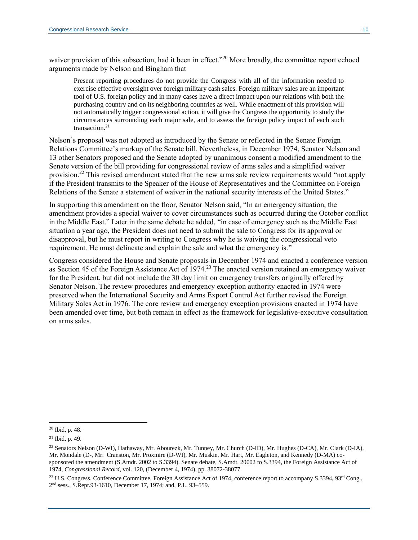waiver provision of this subsection, had it been in effect."<sup>20</sup> More broadly, the committee report echoed arguments made by Nelson and Bingham that

Present reporting procedures do not provide the Congress with all of the information needed to exercise effective oversight over foreign military cash sales. Foreign military sales are an important tool of U.S. foreign policy and in many cases have a direct impact upon our relations with both the purchasing country and on its neighboring countries as well. While enactment of this provision will not automatically trigger congressional action, it will give the Congress the opportunity to study the circumstances surrounding each major sale, and to assess the foreign policy impact of each such transaction.<sup>21</sup>

Nelson's proposal was not adopted as introduced by the Senate or reflected in the Senate Foreign Relations Committee's markup of the Senate bill. Nevertheless, in December 1974, Senator Nelson and 13 other Senators proposed and the Senate adopted by unanimous consent a modified amendment to the Senate version of the bill providing for congressional review of arms sales and a simplified waiver provision.<sup>22</sup> This revised amendment stated that the new arms sale review requirements would "not apply if the President transmits to the Speaker of the House of Representatives and the Committee on Foreign Relations of the Senate a statement of waiver in the national security interests of the United States."

In supporting this amendment on the floor, Senator Nelson said, "In an emergency situation, the amendment provides a special waiver to cover circumstances such as occurred during the October conflict in the Middle East." Later in the same debate he added, "in case of emergency such as the Middle East situation a year ago, the President does not need to submit the sale to Congress for its approval or disapproval, but he must report in writing to Congress why he is waiving the congressional veto requirement. He must delineate and explain the sale and what the emergency is."

Congress considered the House and Senate proposals in December 1974 and enacted a conference version as Section 45 of the Foreign Assistance Act of 1974.<sup>23</sup> The enacted version retained an emergency waiver for the President, but did not include the 30 day limit on emergency transfers originally offered by Senator Nelson. The review procedures and emergency exception authority enacted in 1974 were preserved when the International Security and Arms Export Control Act further revised the Foreign Military Sales Act in 1976. The core review and emergency exception provisions enacted in 1974 have been amended over time, but both remain in effect as the framework for legislative-executive consultation on arms sales.

<sup>20</sup> Ibid, p. 48.

<sup>21</sup> Ibid, p. 49.

<sup>22</sup> Senators Nelson (D-WI), Hathaway, Mr. Abourezk, Mr. Tunney, Mr. Church (D-ID), Mr. Hughes (D-CA), Mr. Clark (D-IA), Mr. Mondale (D-, Mr. Cranston, Mr. Proxmire (D-WI), Mr. Muskie, Mr. Hart, Mr. Eagleton, and Kennedy (D-MA) cosponsored the amendment (S.Amdt. 2002 to S.3394). Senate debate, S.Amdt. 20002 to S.3394, the Foreign Assistance Act of 1974, *Congressional Record*, vol. 120, (December 4, 1974), pp. 38072-38077.

<sup>&</sup>lt;sup>23</sup> U.S. Congress, Conference Committee, Foreign Assistance Act of 1974, conference report to accompany S.3394, 93<sup>rd</sup> Cong., 2 nd sess., S.Rept.93-1610, December 17, 1974; and, [P.L. 93–559.](https://www.govinfo.gov/content/pkg/STATUTE-88/pdf/STATUTE-88-Pg1795.pdf)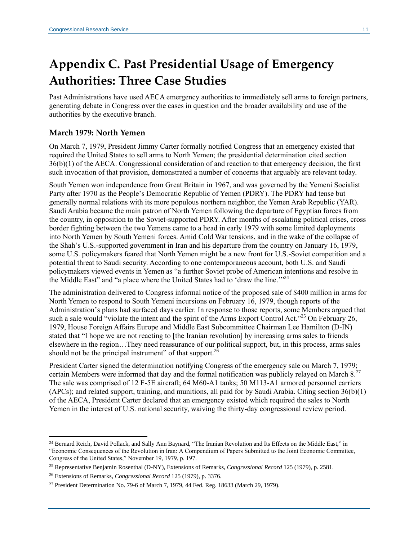# **Appendix C. Past Presidential Usage of Emergency Authorities: Three Case Studies**

Past Administrations have used AECA emergency authorities to immediately sell arms to foreign partners, generating debate in Congress over the cases in question and the broader availability and use of the authorities by the executive branch.

### **March 1979: North Yemen**

On March 7, 1979, President Jimmy Carter formally notified Congress that an emergency existed that required the United States to sell arms to North Yemen; the presidential determination cited section 36(b)(1) of the AECA. Congressional consideration of and reaction to that emergency decision, the first such invocation of that provision, demonstrated a number of concerns that arguably are relevant today.

South Yemen won independence from Great Britain in 1967, and was governed by the Yemeni Socialist Party after 1970 as the People's Democratic Republic of Yemen (PDRY). The PDRY had tense but generally normal relations with its more populous northern neighbor, the Yemen Arab Republic (YAR). Saudi Arabia became the main patron of North Yemen following the departure of Egyptian forces from the country, in opposition to the Soviet-supported PDRY. After months of escalating political crises, cross border fighting between the two Yemens came to a head in early 1979 with some limited deployments into North Yemen by South Yemeni forces. Amid Cold War tensions, and in the wake of the collapse of the Shah's U.S.-supported government in Iran and his departure from the country on January 16, 1979, some U.S. policymakers feared that North Yemen might be a new front for U.S.-Soviet competition and a potential threat to Saudi security. According to one contemporaneous account, both U.S. and Saudi policymakers viewed events in Yemen as "a further Soviet probe of American intentions and resolve in the Middle East" and "a place where the United States had to 'draw the line."<sup>24</sup>

The administration delivered to Congress informal notice of the proposed sale of \$400 million in arms for North Yemen to respond to South Yemeni incursions on February 16, 1979, though reports of the Administration's plans had surfaced days earlier. In response to those reports, some Members argued that such a sale would "violate the intent and the spirit of the Arms Export Control Act."<sup>25</sup> On February 26, 1979, House Foreign Affairs Europe and Middle East Subcommittee Chairman Lee Hamilton (D-IN) stated that "I hope we are not reacting to [the Iranian revolution] by increasing arms sales to friends elsewhere in the region…They need reassurance of our political support, but, in this process, arms sales should not be the principal instrument" of that support. $^{26}$ 

President Carter signed the determination notifying Congress of the emergency sale on March 7, 1979; certain Members were informed that day and the formal notification was publicly relayed on March  $8.^{27}$ The sale was comprised of 12 F-5E aircraft; 64 M60-A1 tanks; 50 M113-A1 armored personnel carriers (APCs); and related support, training, and munitions, all paid for by Saudi Arabia. Citing section 36(b)(1) of the AECA, President Carter declared that an emergency existed which required the sales to North Yemen in the interest of U.S. national security, waiving the thirty-day congressional review period.

<sup>&</sup>lt;sup>24</sup> Bernard Reich, David Pollack, and Sally Ann Baynard, "The Iranian Revolution and Its Effects on the Middle East," in "Economic Consequences of the Revolution in Iran: A Compendium of Papers Submitted to the Joint Economic Committee, Congress of the United States," November 19, 1979, p. 197.

<sup>25</sup> Representative Benjamin Rosenthal (D-NY), Extensions of Remarks, *Congressional Record* 125 (1979), p. 2581.

<sup>26</sup> Extensions of Remarks, *Congressional Record* 125 (1979), p. 3376.

<sup>27</sup> President Determination No. 79-6 of March 7, 1979, 44 Fed. Reg. 18633 (March 29, 1979).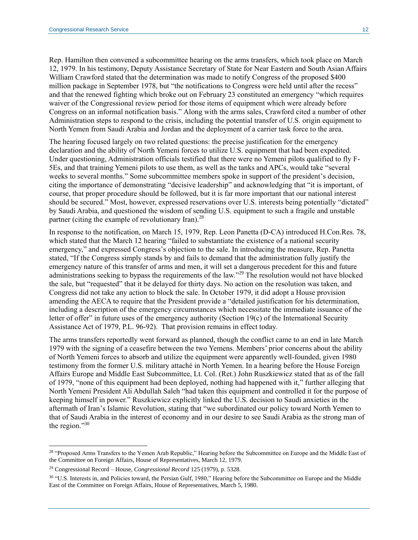Rep. Hamilton then convened a subcommittee hearing on the arms transfers, which took place on March 12, 1979. In his testimony, Deputy Assistance Secretary of State for Near Eastern and South Asian Affairs William Crawford stated that the determination was made to notify Congress of the proposed \$400 million package in September 1978, but "the notifications to Congress were held until after the recess" and that the renewed fighting which broke out on February 23 constituted an emergency "which requires waiver of the Congressional review period for those items of equipment which were already before Congress on an informal notification basis." Along with the arms sales, Crawford cited a number of other Administration steps to respond to the crisis, including the potential transfer of U.S. origin equipment to North Yemen from Saudi Arabia and Jordan and the deployment of a carrier task force to the area.

The hearing focused largely on two related questions: the precise justification for the emergency declaration and the ability of North Yemeni forces to utilize U.S. equipment that had been expedited. Under questioning, Administration officials testified that there were no Yemeni pilots qualified to fly F-5Es, and that training Yemeni pilots to use them, as well as the tanks and APCs, would take "several weeks to several months." Some subcommittee members spoke in support of the president's decision, citing the importance of demonstrating "decisive leadership" and acknowledging that "it is important, of course, that proper procedure should be followed, but it is far more important that our national interest should be secured." Most, however, expressed reservations over U.S. interests being potentially "dictated" by Saudi Arabia, and questioned the wisdom of sending U.S. equipment to such a fragile and unstable partner (citing the example of revolutionary Iran).<sup>28</sup>

In response to the notification, on March 15, 1979, Rep. Leon Panetta (D-CA) introduced [H.Con.Res. 78,](http://www.congress.gov/cgi-lis/bdquery/z?d096:H.Con.Res.78:) which stated that the March 12 hearing "failed to substantiate the existence of a national security emergency," and expressed Congress's objection to the sale. In introducing the measure, Rep. Panetta stated, "If the Congress simply stands by and fails to demand that the administration fully justify the emergency nature of this transfer of arms and men, it will set a dangerous precedent for this and future administrations seeking to bypass the requirements of the law."<sup>29</sup> The resolution would not have blocked the sale, but "requested" that it be delayed for thirty days. No action on the resolution was taken, and Congress did not take any action to block the sale. In October 1979, it did adopt a House provision amending the AECA to require that the President provide a "detailed justification for his determination, including a description of the emergency circumstances which necessitate the immediate issuance of the letter of offer" in future uses of the emergency authority (Section 19(c) of the International Security Assistance Act of 1979, [P.L. 96-92\)](http://www.congress.gov/cgi-lis/bdquery/R?d096:FLD002:@1(96+92)). That provision remains in effect today.

The arms transfers reportedly went forward as planned, though the conflict came to an end in late March 1979 with the signing of a ceasefire between the two Yemens. Members' prior concerns about the ability of North Yemeni forces to absorb and utilize the equipment were apparently well-founded, given 1980 testimony from the former U.S. military attaché in North Yemen. In a hearing before the House Foreign Affairs Europe and Middle East Subcommittee, Lt. Col. (Ret.) John Ruszkiewicz stated that as of the fall of 1979, "none of this equipment had been deployed, nothing had happened with it," further alleging that North Yemeni President Ali Abdullah Saleh "had taken this equipment and controlled it for the purpose of keeping himself in power." Ruszkiewicz explicitly linked the U.S. decision to Saudi anxieties in the aftermath of Iran's Islamic Revolution, stating that "we subordinated our policy toward North Yemen to that of Saudi Arabia in the interest of economy and in our desire to see Saudi Arabia as the strong man of the region." $30$ 

<sup>&</sup>lt;sup>28</sup> "Proposed Arms Transfers to the Yemen Arab Republic," Hearing before the Subcommittee on Europe and the Middle East of the Committee on Foreign Affairs, House of Representatives, March 12, 1979.

<sup>29</sup> Congressional Record – House, *Congressional Record* 125 (1979), p. 5328.

<sup>&</sup>lt;sup>30</sup> "U.S. Interests in, and Policies toward, the Persian Gulf, 1980," Hearing before the Subcommittee on Europe and the Middle East of the Committee on Foreign Affairs, House of Representatives, March 5, 1980.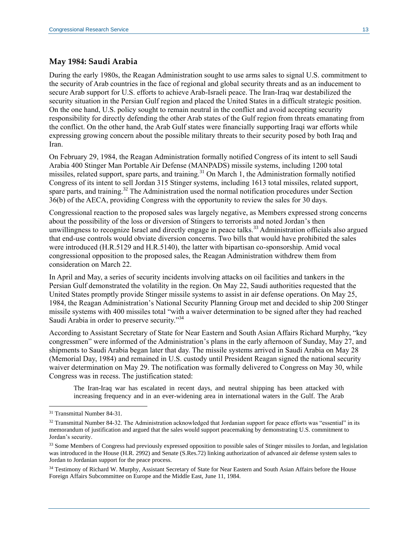### **May 1984: Saudi Arabia**

During the early 1980s, the Reagan Administration sought to use arms sales to signal U.S. commitment to the security of Arab countries in the face of regional and global security threats and as an inducement to secure Arab support for U.S. efforts to achieve Arab-Israeli peace. The Iran-Iraq war destabilized the security situation in the Persian Gulf region and placed the United States in a difficult strategic position. On the one hand, U.S. policy sought to remain neutral in the conflict and avoid accepting security responsibility for directly defending the other Arab states of the Gulf region from threats emanating from the conflict. On the other hand, the Arab Gulf states were financially supporting Iraqi war efforts while expressing growing concern about the possible military threats to their security posed by both Iraq and Iran.

On February 29, 1984, the Reagan Administration formally notified Congress of its intent to sell Saudi Arabia 400 Stinger Man Portable Air Defense (MANPADS) missile systems, including 1200 total missiles, related support, spare parts, and training.<sup>31</sup> On March 1, the Administration formally notified Congress of its intent to sell Jordan 315 Stinger systems, including 1613 total missiles, related support, spare parts, and training.<sup>32</sup> The Administration used the normal notification procedures under Section 36(b) of the AECA, providing Congress with the opportunity to review the sales for 30 days.

Congressional reaction to the proposed sales was largely negative, as Members expressed strong concerns about the possibility of the loss or diversion of Stingers to terrorists and noted Jordan's then unwillingness to recognize Israel and directly engage in peace talks.<sup>33</sup> Administration officials also argued that end-use controls would obviate diversion concerns. Two bills that would have prohibited the sales were introduced (H.R.5129 and H.R.5140), the latter with bipartisan co-sponsorship. Amid vocal congressional opposition to the proposed sales, the Reagan Administration withdrew them from consideration on March 22.

In April and May, a series of security incidents involving attacks on oil facilities and tankers in the Persian Gulf demonstrated the volatility in the region. On May 22, Saudi authorities requested that the United States promptly provide Stinger missile systems to assist in air defense operations. On May 25, 1984, the Reagan Administration's National Security Planning Group met and decided to ship 200 Stinger missile systems with 400 missiles total "with a waiver determination to be signed after they had reached Saudi Arabia in order to preserve security."<sup>34</sup>

According to Assistant Secretary of State for Near Eastern and South Asian Affairs Richard Murphy, "key congressmen" were informed of the Administration's plans in the early afternoon of Sunday, May 27, and shipments to Saudi Arabia began later that day. The missile systems arrived in Saudi Arabia on May 28 (Memorial Day, 1984) and remained in U.S. custody until President Reagan signed the national security waiver determination on May 29. The notification was formally delivered to Congress on May 30, while Congress was in recess. The justification stated:

The Iran-Iraq war has escalated in recent days, and neutral shipping has been attacked with increasing frequency and in an ever-widening area in international waters in the Gulf. The Arab

<sup>31</sup> Transmittal Number 84-31.

 $32$  Transmittal Number 84-32. The Administration acknowledged that Jordanian support for peace efforts was "essential" in its memorandum of justification and argued that the sales would support peacemaking by demonstrating U.S. commitment to Jordan's security.

<sup>&</sup>lt;sup>33</sup> Some Members of Congress had previously expressed opposition to possible sales of Stinger missiles to Jordan, and legislation was introduced in the House (H.R. 2992) and Senate (S.Res.72) linking authorization of advanced air defense system sales to Jordan to Jordanian support for the peace process.

<sup>&</sup>lt;sup>34</sup> Testimony of Richard W. Murphy, Assistant Secretary of State for Near Eastern and South Asian Affairs before the House Foreign Affairs Subcommittee on Europe and the Middle East, June 11, 1984.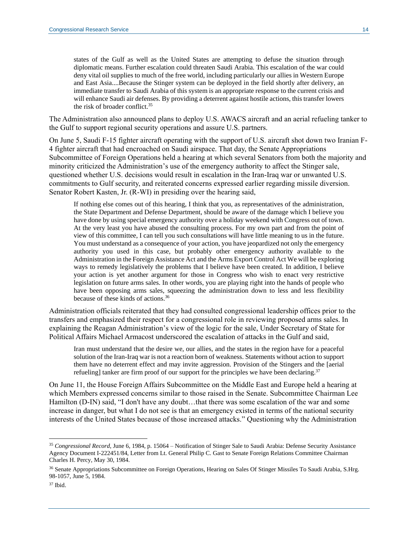states of the Gulf as well as the United States are attempting to defuse the situation through diplomatic means. Further escalation could threaten Saudi Arabia. This escalation of the war could deny vital oil supplies to much of the free world, including particularly our allies in Western Europe and East Asia....Because the Stinger system can be deployed in the field shortly after delivery, an immediate transfer to Saudi Arabia of this system is an appropriate response to the current crisis and will enhance Saudi air defenses. By providing a deterrent against hostile actions, this transfer lowers the risk of broader conflict.<sup>35</sup>

The Administration also announced plans to deploy U.S. AWACS aircraft and an aerial refueling tanker to the Gulf to support regional security operations and assure U.S. partners.

On June 5, Saudi F-15 fighter aircraft operating with the support of U.S. aircraft shot down two Iranian F-4 fighter aircraft that had encroached on Saudi airspace. That day, the Senate Appropriations Subcommittee of Foreign Operations held a hearing at which several Senators from both the majority and minority criticized the Administration's use of the emergency authority to affect the Stinger sale, questioned whether U.S. decisions would result in escalation in the Iran-Iraq war or unwanted U.S. commitments to Gulf security, and reiterated concerns expressed earlier regarding missile diversion. Senator Robert Kasten, Jr. (R-WI) in presiding over the hearing said,

If nothing else comes out of this hearing, I think that you, as representatives of the administration, the State Department and Defense Department, should be aware of the damage which I believe you have done by using special emergency authority over a holiday weekend with Congress out of town. At the very least you have abused the consulting process. For my own part and from the point of view of this committee, I can tell you such consultations will have little meaning to us in the future. You must understand as a consequence of your action, you have jeopardized not only the emergency authority you used in this case, but probably other emergency authority available to the Administration in the Foreign Assistance Act and the Arms Export Control Act We will be exploring ways to remedy legislatively the problems that I believe have been created. In addition, I believe your action is yet another argument for those in Congress who wish to enact very restrictive legislation on future arms sales. In other words, you are playing right into the hands of people who have been opposing arms sales, squeezing the administration down to less and less flexibility because of these kinds of actions.<sup>36</sup>

Administration officials reiterated that they had consulted congressional leadership offices prior to the transfers and emphasized their respect for a congressional role in reviewing proposed arms sales. In explaining the Reagan Administration's view of the logic for the sale, Under Secretary of State for Political Affairs Michael Armacost underscored the escalation of attacks in the Gulf and said,

Iran must understand that the desire we, our allies, and the states in the region have for a peaceful solution of the Iran-Iraq war is not a reaction born of weakness. Statements without action to support them have no deterrent effect and may invite aggression. Provision of the Stingers and the [aerial refueling] tanker are firm proof of our support for the principles we have been declaring.<sup>37</sup>

On June 11, the House Foreign Affairs Subcommittee on the Middle East and Europe held a hearing at which Members expressed concerns similar to those raised in the Senate. Subcommittee Chairman Lee Hamilton (D-IN) said, "I don't have any doubt…that there was some escalation of the war and some increase in danger, but what I do not see is that an emergency existed in terms of the national security interests of the United States because of those increased attacks." Questioning why the Administration

<sup>35</sup> *Congressional Record*, June 6, 1984, p. 15064 – Notification of Stinger Sale to Saudi Arabia: Defense Security Assistance Agency Document I-222451/84, Letter from Lt. General Philip C. Gast to Senate Foreign Relations Committee Chairman Charles H. Percy, May 30, 1984.

<sup>&</sup>lt;sup>36</sup> Senate Appropriations Subcommittee on Foreign Operations, Hearing on Sales Of Stinger Missiles To Saudi Arabia, S.Hrg. 98-1057, June 5, 1984.

<sup>37</sup> Ibid.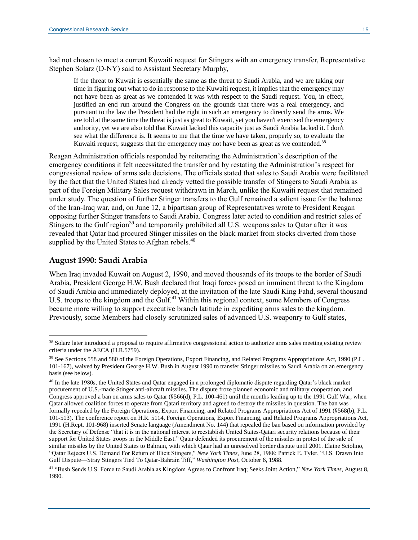had not chosen to meet a current Kuwaiti request for Stingers with an emergency transfer, Representative Stephen Solarz (D-NY) said to Assistant Secretary Murphy,

If the threat to Kuwait is essentially the same as the threat to Saudi Arabia, and we are taking our time in figuring out what to do in response to the Kuwaiti request, it implies that the emergency may not have been as great as we contended it was with respect to the Saudi request. You, in effect, justified an end run around the Congress on the grounds that there was a real emergency, and pursuant to the law the President had the right in such an emergency to directly send the arms. We are told at the same time the threat is just as great to Kuwait, yet you haven't exercised the emergency authority, yet we are also told that Kuwait lacked this capacity just as Saudi Arabia lacked it. I don't see what the difference is. It seems to me that the time we have taken, properly so, to evaluate the Kuwaiti request, suggests that the emergency may not have been as great as we contended.<sup>38</sup>

Reagan Administration officials responded by reiterating the Administration's description of the emergency conditions it felt necessitated the transfer and by restating the Administration's respect for congressional review of arms sale decisions. The officials stated that sales to Saudi Arabia were facilitated by the fact that the United States had already vetted the possible transfer of Stingers to Saudi Arabia as part of the Foreign Military Sales request withdrawn in March, unlike the Kuwaiti request that remained under study. The question of further Stinger transfers to the Gulf remained a salient issue for the balance of the Iran-Iraq war, and, on June 12, a bipartisan group of Representatives wrote to President Reagan opposing further Stinger transfers to Saudi Arabia. Congress later acted to condition and restrict sales of Stingers to the Gulf region<sup>39</sup> and temporarily prohibited all U.S. weapons sales to Qatar after it was revealed that Qatar had procured Stinger missiles on the black market from stocks diverted from those supplied by the United States to Afghan rebels.<sup>40</sup>

#### **August 1990: Saudi Arabia**

 $\overline{a}$ 

When Iraq invaded Kuwait on August 2, 1990, and moved thousands of its troops to the border of Saudi Arabia, President George H.W. Bush declared that Iraqi forces posed an imminent threat to the Kingdom of Saudi Arabia and immediately deployed, at the invitation of the late Saudi King Fahd, several thousand U.S. troops to the kingdom and the Gulf.<sup>41</sup> Within this regional context, some Members of Congress became more willing to support executive branch latitude in expediting arms sales to the kingdom. Previously, some Members had closely scrutinized sales of advanced U.S. weaponry to Gulf states,

<sup>38</sup> Solarz later introduced a proposal to require affirmative congressional action to authorize arms sales meeting existing review criteria under the AECA (H.R.5759).

<sup>&</sup>lt;sup>39</sup> See Sections 558 and 580 of the Foreign Operations, Export Financing, and Related Programs Appropriations Act, 1990 (P.L. 101-167), waived by President George H.W. Bush in August 1990 to transfer Stinger missiles to Saudi Arabia on an emergency basis (see below).

<sup>40</sup> In the late 1980s, the United States and Qatar engaged in a prolonged diplomatic dispute regarding Qatar's black market procurement of U.S.-made Stinger anti-aircraft missiles. The dispute froze planned economic and military cooperation, and Congress approved a ban on arms sales to Qatar (§566(d), P.L. 100-461) until the months leading up to the 1991 Gulf War, when Qatar allowed coalition forces to operate from Qatari territory and agreed to destroy the missiles in question. The ban was formally repealed by the Foreign Operations, Export Financing, and Related Programs Appropriations Act of 1991 (§568(b), P.L. 101-513). The conference report on H.R. 5114, Foreign Operations, Export Financing, and Related Programs Appropriations Act, 1991 (H.Rept. 101-968) inserted Senate language (Amendment No. 144) that repealed the ban based on information provided by the Secretary of Defense "that it is in the national interest to reestablish United States-Qatari security relations because of their support for United States troops in the Middle East." Qatar defended its procurement of the missiles in protest of the sale of similar missiles by the United States to Bahrain, with which Qatar had an unresolved border dispute until 2001. Elaine Sciolino, "Qatar Rejects U.S. Demand For Return of Illicit Stingers," *New York Times*, June 28, 1988; Patrick E. Tyler, "U.S. Drawn Into Gulf Dispute—Stray Stingers Tied To Qatar-Bahrain Tiff," *Washington Post*, October 6, 1988.

<sup>41</sup> "Bush Sends U.S. Force to Saudi Arabia as Kingdom Agrees to Confront Iraq; Seeks Joint Action," *New York Times*, August 8, 1990.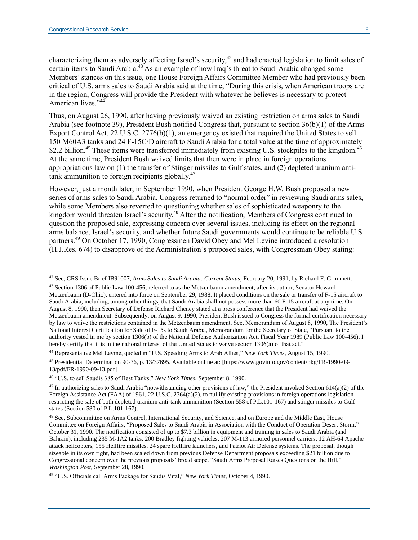characterizing them as adversely affecting Israel's security,<sup>42</sup> and had enacted legislation to limit sales of certain items to Saudi Arabia.<sup>43</sup> As an example of how Iraq's threat to Saudi Arabia changed some Members' stances on this issue, one House Foreign Affairs Committee Member who had previously been critical of U.S. arms sales to Saudi Arabia said at the time, "During this crisis, when American troops are in the region, Congress will provide the President with whatever he believes is necessary to protect American lives."<sup>44</sup>

Thus, on August 26, 1990, after having previously waived an existing restriction on arms sales to Saudi Arabia (see footnote 39), President Bush notified Congress that, pursuant to section 36(b)(1) of the Arms Export Control Act, 22 U.S.C. 2776(b)(1), an emergency existed that required the United States to sell 150 M60A3 tanks and 24 F-15C/D aircraft to Saudi Arabia for a total value at the time of approximately \$2.2 billion.<sup>45</sup> These items were transferred immediately from existing U.S. stockpiles to the kingdom.<sup>46</sup> At the same time, President Bush waived limits that then were in place in foreign operations appropriations law on (1) the transfer of Stinger missiles to Gulf states, and (2) depleted uranium antitank ammunition to foreign recipients globally.<sup>47</sup>

However, just a month later, in September 1990, when President George H.W. Bush proposed a new series of arms sales to Saudi Arabia, Congress returned to "normal order" in reviewing Saudi arms sales, while some Members also reverted to questioning whether sales of sophisticated weaponry to the kingdom would threaten Israel's security.<sup>48</sup> After the notification, Members of Congress continued to question the proposed sale, expressing concern over several issues, including its effect on the regional arms balance, Israel's security, and whether future Saudi governments would continue to be reliable U.S partners.<sup>49</sup> On October 17, 1990, Congressmen David Obey and Mel Levine introduced a resolution [\(H.J.Res.](https://www.congress.gov/bill/101st-congress/house-joint-resolution/674?q=%7B%22search%22%3A%22h.j.res.674%22%7D&s=1&r=3) 674) to disapprove of the Administration's proposed sales, with Congressman Obey stating:

<sup>45</sup> Presidential Determination 90-36, p. 13/37695. Available online at: [https://www.govinfo.gov/content/pkg/FR-1990-09- 13/pdf/FR-1990-09-13.pdf]

<sup>42</sup> See, CRS Issue Brief IB91007, *Arms Sales to Saudi Arabia: Current Status*, February 20, 1991, by Richard F. Grimmett.

<sup>&</sup>lt;sup>43</sup> Section 1306 of Public Law 100-456, referred to as the Metzenbaum amendment, after its author, Senator Howard Metzenbaum (D-Ohio), entered into force on September 29, 1988. It placed conditions on the sale or transfer of F-15 aircraft to Saudi Arabia, including, among other things, that Saudi Arabia shall not possess more than 60 F-15 aircraft at any time. On August 8, 1990, then Secretary of Defense Richard Cheney stated at a press conference that the President had waived the Metzenbaum amendment. Subsequently, on August 9, 1990, President Bush issued to Congress the formal certification necessary by law to waive the restrictions contained in the Metzenbaum amendment. See, Memorandum of August 8, 1990, The President's National Interest Certification for Sale of F-15s to Saudi Arabia, Memorandum for the Secretary of State, "Pursuant to the authority vested in me by section 1306(b) of the National Defense Authorization Act, Fiscal Year 1989 (Public Law 100-456), I hereby certify that it is in the national interest of the United States to waive section 1306(a) of that act."

<sup>44</sup> Representative Mel Levine, quoted in "U.S. Speeding Arms to Arab Allies," *New York Times*, August 15, 1990.

<sup>46</sup> "U.S. to sell Saudis 385 of Best Tanks," *New York Times*, September 8, 1990.

 $47$  In authorizing sales to Saudi Arabia "notwithstanding other provisions of law," the President invoked Section 614(a)(2) of the Foreign Assistance Act (FAA) of 1961, 22 U.S.C. 2364(a)(2), to nullify existing provisions in foreign operations legislation restricting the sale of both depleted uranium anti-tank ammunition (Section 558 of P.L.101-167) and stinger missiles to Gulf states (Section 580 of P.L.101-167).

<sup>48</sup> See, Subcommittee on Arms Control, International Security, and Science, and on Europe and the Middle East, House Committee on Foreign Affairs, "Proposed Sales to Saudi Arabia in Association with the Conduct of Operation Desert Storm," October 31, 1990. The notification consisted of up to \$7.3 billion in equipment and training in sales to Saudi Arabia (and Bahrain), including 235 M-1A2 tanks, 200 Bradley fighting vehicles, 207 M-113 armored personnel carriers, 12 AH-64 Apache attack helicopters, 155 Hellfire missiles, 24 spare Hellfire launchers, and Patriot Air Defense systems. The proposal, though sizeable in its own right, had been scaled down from previous Defense Department proposals exceeding \$21 billion due to Congressional concern over the previous proposals' broad scope. "Saudi Arms Proposal Raises Questions on the Hill," *Washington Post*, September 28, 1990.

<sup>49</sup> "U.S. Officials call Arms Package for Saudis Vital," *New York Times*, October 4, 1990.